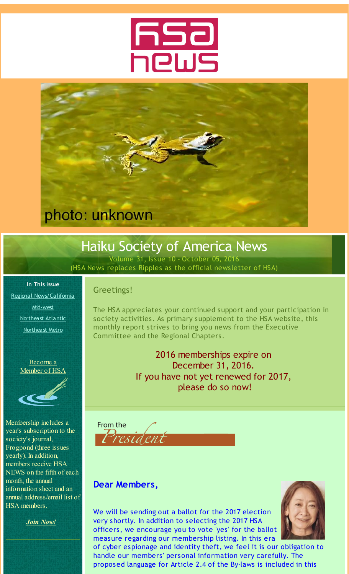

<span id="page-0-0"></span>

# Haiku Society of America News

Volume 31, Issue 10 - October 05, 2016 (HSA News replaces Ripples as the official newsletter of HSA)

**In This Issue** Regional [News/California](#page-0-0) [Mid-west](#page-0-0) [Northeast](#page-0-0) Atlantic [Northeast](#page-0-0) Metro

> [Become](http://r20.rs6.net/tn.jsp?f=001UzqPBoVfEmEIH-IL530vtayyAVIcrK5tSgsw0S5e9GVQJoPuQ9EZSNyrGe42HhsLxfU41x8U8rxSJZT22fUGVQxcX6NXJMpuP1CI9wRpPRSIjf3vpZlMkquwLwb5eyeYyhofMYlSCEwbAmrqHRsCb681Xz5NJBXe_8yMYeHU9snxbf8V1JkbQQ==&c=&ch=) a [Member](http://r20.rs6.net/tn.jsp?f=001UzqPBoVfEmEIH-IL530vtayyAVIcrK5tSgsw0S5e9GVQJoPuQ9EZSNyrGe42HhsLxfU41x8U8rxSJZT22fUGVQxcX6NXJMpuP1CI9wRpPRSIjf3vpZlMkquwLwb5eyeYyhofMYlSCEwbAmrqHRsCb681Xz5NJBXe_8yMYeHU9snxbf8V1JkbQQ==&c=&ch=) of HSA



Membership includes a year's subscription to the society's journal, Frogpond (three issues yearly). In addition, members receive HSA NEWS on the fifth of each month, the annual information sheet and an annual address/email list of HSA members.

*Join [Now!](http://r20.rs6.net/tn.jsp?f=001UzqPBoVfEmEIH-IL530vtayyAVIcrK5tSgsw0S5e9GVQJoPuQ9EZSNyrGe42HhsLxfU41x8U8rxSJZT22fUGVQxcX6NXJMpuP1CI9wRpPRSIjf3vpZlMkquwLwb5eyeYyhofMYlSCEwbAmrqHRsCb681Xz5NJBXe_8yMYeHU9snxbf8V1JkbQQ==&c=&ch=)*

### Greetings!

The HSA appreciates your continued support and your participation in society activities. As primary supplement to the HSA website, this monthly report strives to bring you news from the Executive Committee and the Regional Chapters.

> 2016 memberships expire on December 31, 2016. If you have not yet renewed for 2017, please do so now!



### **Dear Members,**

We will be sending out a ballot for the 2017 election very shortly. In addition to selecting the 2017 HSA officers, we encourage you to vote 'yes' for the ballot measure regarding our membership listing. In this era



of cyber espionage and identity theft, we feel it is our obligation to handle our members' personal information very carefully. The proposed language for Article 2.4 of the By-laws is included in this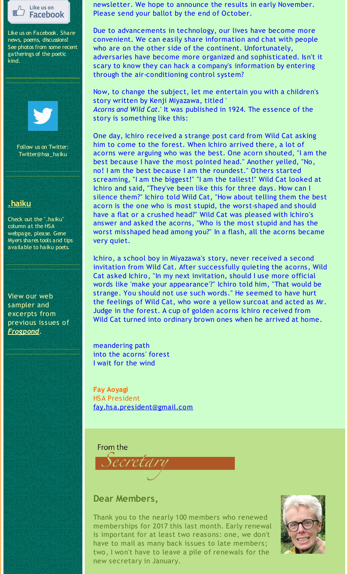

Like us on Facebook. Share news, poems, discussions! See photos from some recent gatherings of the poetic kind.



Follow us on Twitter: Twitter@hsa\_haiku

### **[.haiku](http://r20.rs6.net/tn.jsp?f=001UzqPBoVfEmEIH-IL530vtayyAVIcrK5tSgsw0S5e9GVQJoPuQ9EZSEnxe9Waxq3Bka5fjs1qTU4Qz4B2tf9Yuv6AR08rv6olQgBtm3fkY0sfuRgaRHbu05cQuf_iv0C0hPMY8kbMi1VggLP1wVklCzKNlH2HFZIkthryFyKexoJ6Tijn7ZH44Ey32seClm0F&c=&ch=)**

Check out the ".haiku" column at the HSA webpage, please. Gene Myers shares tools and tips available to haiku poets.

View our web sampler and excerpts from previous issues of *[Frogpond](http://r20.rs6.net/tn.jsp?f=001UzqPBoVfEmEIH-IL530vtayyAVIcrK5tSgsw0S5e9GVQJoPuQ9EZSNBtXn4XHBbn7VRvx8U4GsS2sPmj2vxrBkotP44jVbW2wILQ4JERC3fyczLXpBGgCT4AaKCYWxbQucQLPqb8zKs3DBgUJI_8HuN2KVkrX1dRWuAC1fTCPGu3jpZ601BIHogDkqAzeljhTwH5_TQ49ebiFbtf6kkdYg==&c=&ch=)*.

newsletter. We hope to announce the results in early November. Please send your ballot by the end of October.

Due to advancements in technology, our lives have become more convenient. We can easily share information and chat with people who are on the other side of the continent. Unfortunately, adversaries have become more organized and sophisticated. Isn't it scary to know they can hack a company's information by entering through the air-conditioning control system?

Now, to change the subject, let me entertain you with a children's story written by Kenji Miyazawa, titled ' *Acorns and Wild Cat*.' It was published in 1924. The essence of the story is something like this:

One day, Ichiro received a strange post card from Wild Cat asking him to come to the forest. When Ichiro arrived there, a lot of acorns were arguing who was the best. One acorn shouted, "I am the best because I have the most pointed head." Another yelled, "No, no! I am the best because I am the roundest." Others started screaming, "I am the biggest!" "I am the tallest!" Wild Cat looked at Ichiro and said, "They've been like this for three days. How can I silence them?" Ichiro told Wild Cat, "How about telling them the best acorn is the one who is most stupid, the worst-shaped and should have a flat or a crushed head?" Wild Cat was pleased with Ichiro's answer and asked the acorns, "Who is the most stupid and has the worst misshaped head among you?" In a flash, all the acorns became very quiet.

Ichiro, a school boy in Miyazawa's story, never received a second invitation from Wild Cat. After successfully quieting the acorns, Wild Cat asked Ichiro, "In my next invitation, should I use more official words like 'make your appearance'?" Ichiro told him, "That would be strange. You should not use such words." He seemed to have hurt the feelings of Wild Cat, who wore a yellow surcoat and acted as Mr. Judge in the forest. A cup of golden acorns Ichiro received from Wild Cat turned into ordinary brown ones when he arrived at home.

meandering path into the acorns' forest I wait for the wind

**Fay Aoyagi** HSA President [fay.hsa.president@gmail.com](mailto:fay.hsa.president@gmail.com)

From the



### **Dear Members,**

Thank you to the nearly 100 members who renewed memberships for 2017 this last month. Early renewal is important for at least two reasons: one, we don't have to mail as many back issues to late members; two, I won't have to leave a pile of renewals for the new secretary in January.

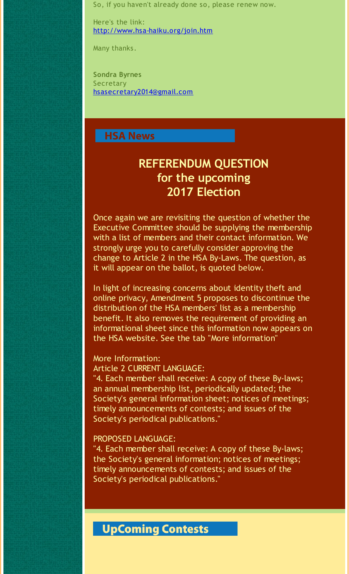So, if you haven't already done so, please renew now.

Here's the link: [http://www.hsa-haiku.org/join.htm](http://r20.rs6.net/tn.jsp?f=001UzqPBoVfEmEIH-IL530vtayyAVIcrK5tSgsw0S5e9GVQJoPuQ9EZSNyrGe42HhsLxfU41x8U8rxSJZT22fUGVQxcX6NXJMpuP1CI9wRpPRSIjf3vpZlMkquwLwb5eyeYyhofMYlSCEwbAmrqHRsCb681Xz5NJBXe_8yMYeHU9snxbf8V1JkbQQ==&c=&ch=)

Many thanks.

**Sondra Byrnes Secretary** [hsasecretary2014@gmail.com](mailto:hsasecretary2014@gmail.com)

## **HSA News**

## **REFERENDUM QUESTION for the upcoming 2017 Election**

Once again we are revisiting the question of whether the Executive Committee should be supplying the membership with a list of members and their contact information. We strongly urge you to carefully consider approving the change to Article 2 in the HSA By-Laws. The question, as it will appear on the ballot, is quoted below.

In light of increasing concerns about identity theft and online privacy, Amendment 5 proposes to discontinue the distribution of the HSA members' list as a membership benefit. It also removes the requirement of providing an informational sheet since this information now appears on the HSA website. See the tab "More information"

#### More Information:

Article 2 CURRENT LANGUAGE:

"4. Each member shall receive: A copy of these By-laws; an annual membership list, periodically updated; the Society's general information sheet; notices of meetings; timely announcements of contests; and issues of the Society's periodical publications."

### PROPOSED LANGUAGE:

"4. Each member shall receive: A copy of these By-laws; the Society's general information; notices of meetings; timely announcements of contests; and issues of the Society's periodical publications."

## **UpComing Contests**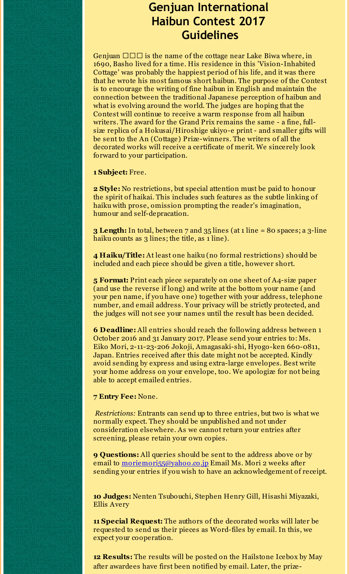## **Genjuan International Haibun Contest 2017 Guidelines**

Genjuan  $\Box$  is the name of the cottage near Lake Biwa where, in 1690, Basho lived for a time. His residence in this 'Vision-Inhabited Cottage' was probably the happiest period of his life, and it was there that he wrote his most famous short haibun. The purpose of the Contest is to encourage the writing of fine haibun in English and maintain the connection between the traditional Japanese perception of haibun and what is evolving around the world. The judges are hoping that the Contest will continue to receive a warm response from all haibun writers. The award for the Grand Prix remains the same - a fine, fullsize replica of a Hokusai/Hiroshige ukiyo-e print - and smaller gifts will be sent to the An (Cottage) Prize-winners. The writers of all the decorated works will receive a certificate of merit. We sincerely look forward to your participation.

**1 Subject:** Free.

**2 Style:** No restrictions, but special attention must be paid to honour the spirit of haikai. This includes such features as the subtle linking of haiku with prose, omission prompting the reader's imagination, humour and self-depracation.

**3 Length:** In total, between 7 and 35 lines (at 1 line = 80 spaces; a 3-line haiku counts as 3 lines; the title, as 1 line).

**4 Haiku/Title:** At least one haiku (no formal restrictions) should be included and each piece should be given a title, however short.

**5 Format:** Print each piece separately on one sheet of A4-size paper (and use the reverse if long) and write at the bottom your name (and your pen name, if you have one) together with your address, telephone number, and email address. Your privacy will be strictly protected, and the judges will not see your names until the result has been decided.

**6 Deadline:** All entries should reach the following address between 1 October 2016 and 31 January 2017. Please send your entries to: Ms. Eiko Mori, 2-11-23-206 Jokoji, Amagasaki-shi, Hyogo-ken 660-0811, Japan. Entries received after this date might not be accepted. Kindly avoid sending by express and using extra-large envelopes. Best write your home address on your envelope, too. We apologize for not being able to accept emailed entries.

#### **7 Entry Fee:** None.

*Restrictions:* Entrants can send up to three entries, but two is what we normally expect. They should be unpublished and not under consideration elsewhere. As we cannot return your entries after screening, please retain your own copies.

**9 Questions:** All queries should be sent to the address above or by email to [moriemori55@yahoo.co.jp](mailto:moriemori55@yahoo.co.jp) Email Ms. Mori 2 weeks after sending your entries if you wish to have an acknowledgement of receipt.

**10 Judges:** Nenten Tsubouchi, Stephen Henry Gill, Hisashi Miyazaki, Ellis Avery

**11 Special Request:** The authors of the decorated works will later be requested to send us their pieces as Word-files by email. In this, we expect your cooperation.

**12 Results:** The results will be posted on the Hailstone Icebox by May after awardees have first been notified by email. Later, the prize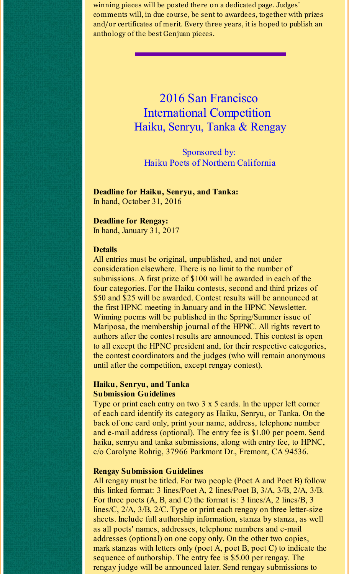winning pieces will be posted there on a dedicated page. Judges' comments will, in due course, be sent to awardees, together with prizes and/or certificates of merit. Every three years, it is hoped to publish an anthology of the best Genjuan pieces.

> 2016 San Francisco International Competition Haiku, Senryu, Tanka & Rengay

Sponsored by: Haiku Poets of Northern California

**Deadline for Haiku, Senryu, and Tanka:** In hand, October 31, 2016

**Deadline for Rengay:** In hand, January 31, 2017

#### **Details**

All entries must be original, unpublished, and not under consideration elsewhere. There is no limit to the number of submissions. A first prize of \$100 will be awarded in each of the four categories. For the Haiku contests, second and third prizes of \$50 and \$25 will be awarded. Contest results will be announced at the first HPNC meeting in January and in the HPNC Newsletter. Winning poems will be published in the Spring/Summer issue of Mariposa, the membership journal of the HPNC. All rights revert to authors after the contest results are announced. This contest is open to all except the HPNC president and, for their respective categories, the contest coordinators and the judges (who will remain anonymous until after the competition, except rengay contest).

#### **Haiku, Senryu, and Tanka Submission Guidelines**

Type or print each entry on two 3 x 5 cards. In the upper left corner of each card identify its category as Haiku, Senryu, or Tanka. On the back of one card only, print your name, address, telephone number and e-mail address (optional). The entry fee is \$1.00 per poem. Send haiku, senryu and tanka submissions, along with entry fee, to HPNC, c/o Carolyne Rohrig, 37966 Parkmont Dr., Fremont, CA 94536.

#### **Rengay Submission Guidelines**

All rengay must be titled. For two people (Poet A and Poet B) follow this linked format: 3 lines/Poet A, 2 lines/Poet B, 3/A, 3/B, 2/A, 3/B. For three poets (A, B, and C) the format is: 3 lines/A, 2 lines/B, 3 lines/C, 2/A, 3/B, 2/C. Type or print each rengay on three letter-size sheets. Include full authorship information, stanza by stanza, as well as all poets' names, addresses, telephone numbers and e-mail addresses (optional) on one copy only. On the other two copies, mark stanzas with letters only (poet A, poet B, poet C) to indicate the sequence of authorship. The entry fee is \$5.00 per rengay. The rengay judge will be announced later. Send rengay submissions to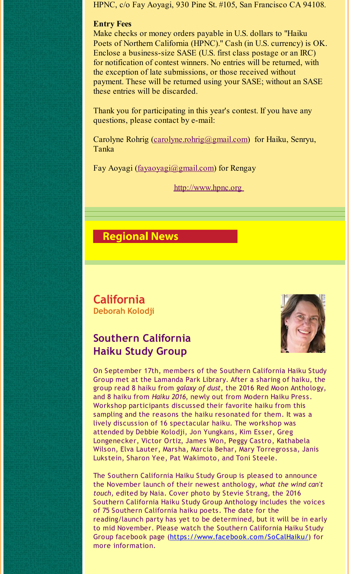HPNC, c/o Fay Aoyagi, 930 Pine St. #105, San Francisco CA 94108.

### **Entry Fees**

Make checks or money orders payable in U.S. dollars to "Haiku Poets of Northern California (HPNC)." Cash (in U.S. currency) is OK. Enclose a business-size SASE (U.S. first class postage or an IRC) for notification of contest winners. No entries will be returned, with the exception of late submissions, or those received without payment. These will be returned using your SASE; without an SASE these entries will be discarded.

Thank you for participating in this year's contest. If you have any questions, please contact by e-mail:

Carolyne Rohrig [\(carolyne.rohrig@gmail.com](mailto:carolyne.rohrig@gmail.com)) for Haiku, Senryu, Tanka

Fay Aoyagi [\(fayaoyagi@gmail.com](mailto:fayaoyagi@gmail.com)) for Rengay

[http://www.hpnc.org](http://r20.rs6.net/tn.jsp?f=001UzqPBoVfEmEIH-IL530vtayyAVIcrK5tSgsw0S5e9GVQJoPuQ9EZSAL-xZGDBpubBB_W20MTleqGl2FaXVdfiShdN0FjJYgigiyI_lLbnGdifO1bOgXi3u594HlDuKiWjE0ZspGLLDe8T2LORecZABVHmi_HcZXA&c=&ch=)

## **Regional News**

**California Deborah Kolodji**

## **Southern California Haiku Study Group**



On September 17th, members of the Southern California Haiku Study Group met at the Lamanda Park Library. After a sharing of haiku, the group read 8 haiku from *galaxy of dust*, the 2016 Red Moon Anthology, and 8 haiku from *Haiku 2016*, newly out from Modern Haiku Press. Workshop participants discussed their favorite haiku from this sampling and the reasons the haiku resonated for them. It was a lively discussion of 16 spectacular haiku. The workshop was attended by Debbie Kolodji, Jon Yungkans, Kim Esser, Greg Longenecker, Victor Ortiz, James Won, Peggy Castro, Kathabela Wilson, Elva Lauter, Marsha, Marcia Behar, Mary Torregrossa, Janis Lukstein, Sharon Yee, Pat Wakimoto, and Toni Steele.

The Southern California Haiku Study Group is pleased to announce the November launch of their newest anthology, *what the wind can't touch,* edited by Naia. Cover photo by Stevie Strang, the 2016 Southern California Haiku Study Group Anthology includes the voices of 75 Southern California haiku poets. The date for the reading/launch party has yet to be determined, but it will be in early to mid November. Please watch the Southern California Haiku Study Group facebook page ([https://www.facebook.com/SoCalHaiku/](http://r20.rs6.net/tn.jsp?f=001UzqPBoVfEmEIH-IL530vtayyAVIcrK5tSgsw0S5e9GVQJoPuQ9EZSP3KhNytoLygNHq5dPkcrWn1K9e5D3uEgjvvG2hSMwqWq6lFqYspxN1gQ6eyTucXRSD-HuRKMw4_o3eMfhVZZQeI5SnwxFxgCNKipc-mTBi4cig5ttGZIrG5QfuAHMr5d10dUmZHDlQ8&c=&ch=)) for more information.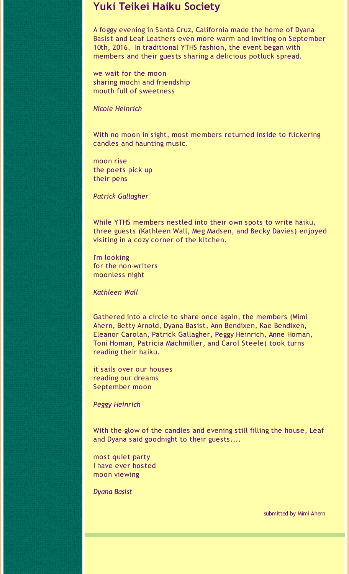## **Yuki Teikei Haiku Society**

A foggy evening in Santa Cruz, California made the home of Dyana Basist and Leaf Leathers even more warm and inviting on September 10th, 2016. In traditional YTHS fashion, the event began with members and their guests sharing a delicious potluck spread.

we wait for the moon sharing mochi and friendship mouth full of sweetness

*Nicole Heinrich*

With no moon in sight, most members returned inside to flickering candles and haunting music.

moon rise the poets pick up their pens

*Patrick Gallagher*

While YTHS members nestled into their own spots to write haiku, three guests (Kathleen Wall, Meg Madsen, and Becky Davies) enjoyed visiting in a cozy corner of the kitchen.

I'm looking for the non-writers moonless night

*Kathleen Wall*

Gathered into a circle to share once again, the members (Mimi Ahern, Betty Arnold, Dyana Basist, Ann Bendixen, Kae Bendixen, Eleanor Carolan, Patrick Gallagher, Peggy Heinrich, Anne Homan, Toni Homan, Patricia Machmiller, and Carol Steele) took turns reading their haiku.

it sails over our houses reading our dreams September moon

*Peggy Heinrich*

With the glow of the candles and evening still filling the house, Leaf and Dyana said goodnight to their guests....

most quiet party I have ever hosted moon viewing

*Dyana Basist*

submitted by Mimi Ahern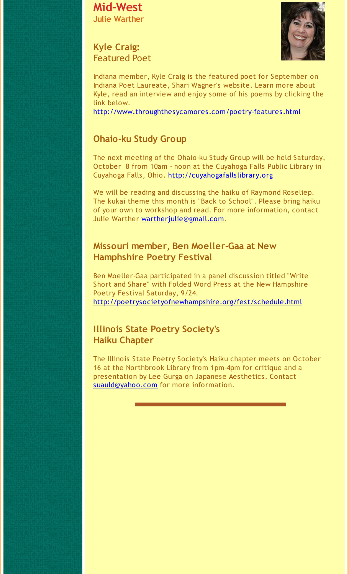**Mid-West Julie Warther**



**Kyle Craig:** Featured Poet

Indiana member, Kyle Craig is the featured poet for September on Indiana Poet Laureate, Shari Wagner's website. Learn more about Kyle, read an interview and enjoy some of his poems by clicking the link below.

[http://www.throughthesycamores.com/poetry-features.html](http://r20.rs6.net/tn.jsp?f=001UzqPBoVfEmEIH-IL530vtayyAVIcrK5tSgsw0S5e9GVQJoPuQ9EZSP3KhNytoLyg9eBVTGT14LToknCYjiP6vsu21gWaI2WSHUXsa8KTClYMBx-hAtf3ii4LkDFWppf1YsOqb3bzvf6zAl0COCCts7Q8Pxf4xyO57Dfk8HF6pWyPIRncRWZL7-mng_sYZG6e3fOjO_dKF-Okw-zYznpOwg==&c=&ch=)

## **Ohaio-ku Study Group**

The next meeting of the Ohaio-ku Study Group will be held Saturday, October 8 from 10am - noon at the Cuyahoga Falls Public Library in Cuyahoga Falls, Ohio. [http://cuyahogafallslibrary.org](http://r20.rs6.net/tn.jsp?f=001UzqPBoVfEmEIH-IL530vtayyAVIcrK5tSgsw0S5e9GVQJoPuQ9EZSP3Rij4aJH4By524COww1rkEZnL1PZ6ipa7a5N_IHULme4ugGdTbxcMiWKnMgIdZOf-61RkFOgv4L_rquCFO9ups7fte2lfjZKRPI351rGcPTh-aW8DfbtMjKliPQZ8s20Jff8qRaNZr&c=&ch=)

We will be reading and discussing the haiku of Raymond Roseliep. The kukai theme this month is "Back to School". Please bring haiku of your own to workshop and read. For more information, contact Julie Warther [wartherjulie@gmail.com](mailto:wartherjulie@gmail.com).

### **Missouri member, Ben Moeller-Gaa at New Hamphshire Poetry Festival**

Ben Moeller-Gaa participated in a panel discussion titled "Write Short and Share" with Folded Word Press at the New Hampshire Poetry Festival Saturday, 9/24. [http://poetrysocietyofnewhampshire.org/fest/schedule.html](http://r20.rs6.net/tn.jsp?f=001UzqPBoVfEmEIH-IL530vtayyAVIcrK5tSgsw0S5e9GVQJoPuQ9EZSP3KhNytoLygWbZ9__9ey1mzEB2DnAIRlcNzCAjUkt28_ybbXc74QHg1XGBYBaN42TK6dxgU6hcShMo0lhxEWOsoYiyNUG67knorMsPq1aNbXBn678pNddUOfikapgbDrO3-HeCaT5VPf6-S220r3wGK4MCOkvpvhrS6LdeiKDH0&c=&ch=)

### **Illinois State Poetry Society's Haiku Chapter**

The Illinois State Poetry Society's Haiku chapter meets on October 16 at the Northbrook Library from 1pm-4pm for critique and a presentation by Lee Gurga on Japanese Aesthetics. Contact [suauld@yahoo.com](mailto:suauld@yahoo.com) for more information.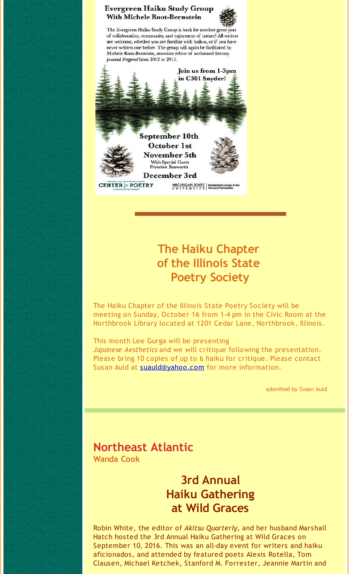

## **The Haiku Chapter of the Illinois State Poetry Society**

The Haiku Chapter of the Illinois State Poetry Society will be meeting on Sunday, October 16 from 1-4 pm in the Civic Room at the Northbrook Library located at 1201 Cedar Lane, Northbrook, Illinois.

This month Lee Gurga will be presenting *Japanese Aesthetics* and we will critique following the presentation. Please bring 10 copies of up to 6 haiku for critique. Please contact Susan Auld at [suauld@yahoo.com](mailto:suauld@yahoo.com) for more information.

submitted by Susan Auld

## **Northeast Atlantic Wanda Cook**

## **3rd Annual Haiku Gathering at Wild Graces**

Robin White, the editor of *Akitsu Quarterly,* and her husband Marshall Hatch hosted the 3rd Annual Haiku Gathering at Wild Graces on September 10, 2016. This was an all-day event for writers and haiku aficionados, and attended by featured poets Alexis Rotella, Tom Clausen, Michael Ketchek, Stanford M. Forrester, Jeannie Martin and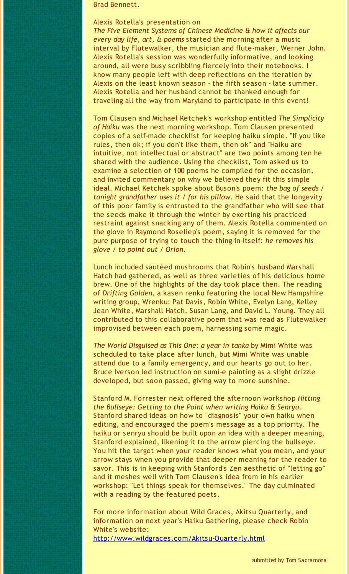Brad Bennett.

#### Alexis Rotella's presentation on

*The Five Element Systems of Chinese Medicine & how it affects our every day life, art, & poems* started the morning after a music interval by Flutewalker, the musician and flute-maker, Werner John. Alexis Rotella's session was wonderfully informative, and looking around, all were busy scribbling fiercely into their notebooks. I know many people left with deep reflections on the iteration by Alexis on the least known season - the fifth season - late summer. Alexis Rotella and her husband cannot be thanked enough for traveling all the way from Maryland to participate in this event!

Tom Clausen and Michael Ketchek's workshop entitled *The Simplicity of Haiku* was the next morning workshop. Tom Clausen presented copies of a self-made checklist for keeping haiku simple. "If you like rules, then ok; if you don't like them, then ok" and "Haiku are intuitive, not intellectual or abstract" are two points among ten he shared with the audience. Using the checklist, Tom asked us to examine a selection of 100 poems he compiled for the occasion, and invited commentary on why we believed they fit this simple ideal. Michael Ketchek spoke about Buson's poem: *the bag of seeds / tonight grandfather uses it / for his pillow.* He said that the longevity of this poor family is entrusted to the grandfather who will see that the seeds make it through the winter by exerting his practiced restraint against snacking any of them. Alexis Rotella commented on the glove in Raymond Roseliep's poem, saying it is removed for the pure purpose of trying to touch the thing-in-itself: *he removes his glove / to point out / Orion.*

Lunch included sautéed mushrooms that Robin's husband Marshall Hatch had gathered, as well as three varieties of his delicious home brew. One of the highlights of the day took place then. The reading of *Drifting Golden,* a kasen renku featuring the local New Hampshire writing group, Wrenku: Pat Davis, Robin White, Evelyn Lang, Kelley Jean White, Marshall Hatch, Susan Lang, and David L. Young. They all contributed to this collaborative poem that was read as Flutewalker improvised between each poem, harnessing some magic.

*The World Disguised as This One: a year in tanka* by Mimi White was scheduled to take place after lunch, but Mimi White was unable attend due to a family emergency, and our hearts go out to her. Bruce Iverson led instruction on sumi-e painting as a slight drizzle developed, but soon passed, giving way to more sunshine.

Stanford M. Forrester next offered the afternoon workshop *Hitting the Bullseye: Getting to the Point when writing Haiku & Senryu.* Stanford shared ideas on how to "diagnosis" your own haiku when editing, and encouraged the poem's message as a top priority. The haiku or senryu should be built upon an idea with a deeper meaning, Stanford explained, likening it to the arrow piercing the bullseye. You hit the target when your reader knows what you mean, and your arrow stays when you provide that deeper meaning for the reader to savor. This is in keeping with Stanford's Zen aesthetic of "letting go" and it meshes well with Tom Clausen's idea from in his earlier workshop: "Let things speak for themselves." The day culminated with a reading by the featured poets.

For more information about Wild Graces, Akitsu Quarterly, and information on next year's Haiku Gathering, please check Robin White's website: [http://www.wildgraces.com/Akitsu-Quarterly.html](http://r20.rs6.net/tn.jsp?f=001UzqPBoVfEmEIH-IL530vtayyAVIcrK5tSgsw0S5e9GVQJoPuQ9EZSP3KhNytoLyg0EfExeJXAEueSjN2FsORPbh9vGCF32fItzPvQeaE16dqhRrAXvwLIqeVpTnBAMBVVuMmKbnyHXL_ztccg3C8zZHbdYWl-AakPuTz3rky_BRZ4aBBMDf46a6T7cAEOfQhfSrFgmImvMEPqFxgolHZfA==&c=&ch=)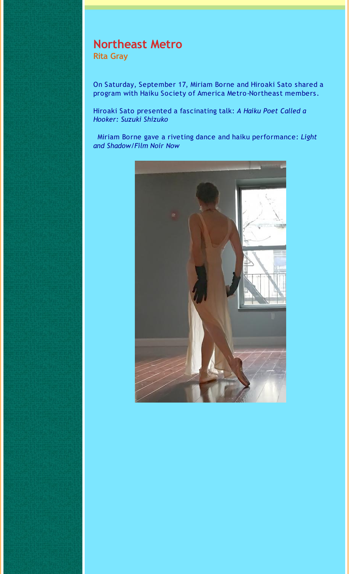# **Northeast Metro**

**Rita Gray**

On Saturday, September 17, Miriam Borne and Hiroaki Sato shared a program with Haiku Society of America Metro-Northeast members.

Hiroaki Sato presented a fascinating talk: *A Haiku Poet Called a Hooker: Suzuki Shizuko*

Miriam Borne gave a riveting dance and haiku performance: *Light and Shadow/Film Noir Now*

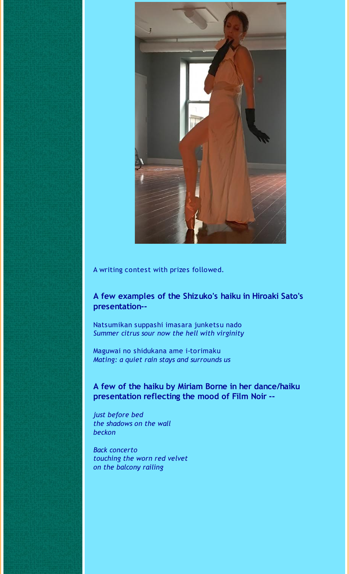

A writing contest with prizes followed.

### **A few examples of the Shizuko's haiku in Hiroaki Sato's presentation--**

Natsumikan suppashi imasara junketsu nado *Summer citrus sour now the hell with virginity*

Maguwai no shidukana ame i-torimaku *Mating: a quiet rain stays and surrounds us*

**A few of the haiku by Miriam Borne in her dance/haiku presentation reflecting the mood of Film Noir --**

*just before bed the shadows on the wall beckon*

*Back concerto touching the worn red velvet on the balcony railing*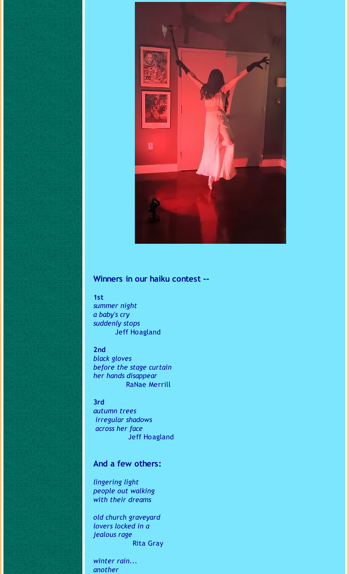

### **Winners in our haiku contest --**

**1st**

*summer night a baby's cry suddenly stops* Jeff Hoagland

#### **2nd**

*black gloves before the stage curtain her hands disappear* RaNae Merrill

#### **3rd**

*autumn trees irregular shadows across her face* Jeff Hoagland

### **And a few others:**

*lingering light people out walking with their dreams*

*old church graveyard lovers locked in a jealous rage* Rita Gray

*winter rain... another*